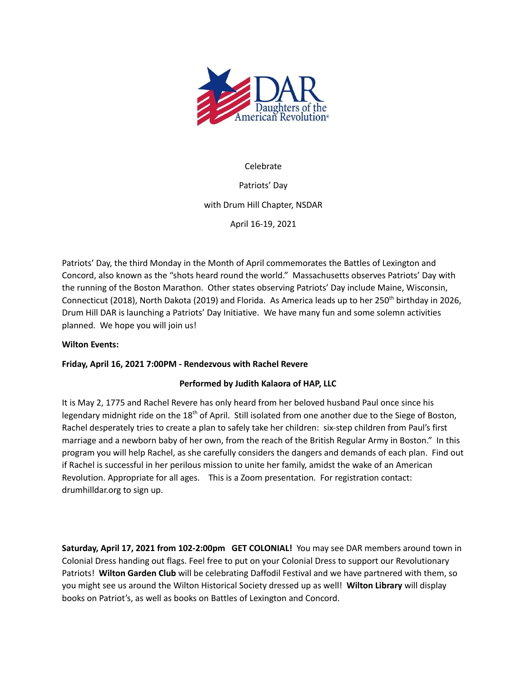

# Celebrate

Patriots' Day with Drum Hill Chapter, NSDAR

April 16-19, 2021

Patriots' Day, the third Monday in the Month of April commemorates the Battles of Lexington and Concord, also known as the "shots heard round the world." Massachusetts observes Patriots' Day with the running of the Boston Marathon. Other states observing Patriots' Day include Maine, Wisconsin, Connecticut (2018), North Dakota (2019) and Florida. As America leads up to her 250<sup>th</sup> birthday in 2026, Drum Hill DAR is launching a Patriots' Day Initiative. We have many fun and some solemn activities planned. We hope you will join us!

# **Wilton Events:**

# **Friday, April 16, 2021 7:00PM - Rendezvous with Rachel Revere**

## **Performed by Judith Kalaora of HAP, LLC**

It is May 2, 1775 and Rachel Revere has only heard from her beloved husband Paul once since his legendary midnight ride on the 18<sup>th</sup> of April. Still isolated from one another due to the Siege of Boston, Rachel desperately tries to create a plan to safely take her children: six-step children from Paul's first marriage and a newborn baby of her own, from the reach of the British Regular Army in Boston." In this program you will help Rachel, as she carefully considers the dangers and demands of each plan. Find out if Rachel is successful in her perilous mission to unite her family, amidst the wake of an American Revolution. Appropriate for all ages. This is a Zoom presentation. For registration contact: drumhilldar.org to sign up.

**Saturday, April 17, 2021 from 102-2:00pm GET COLONIAL!** You may see DAR members around town in Colonial Dress handing out flags. Feel free to put on your Colonial Dress to support our Revolutionary Patriots! **Wilton Garden Club** will be celebrating Daffodil Festival and we have partnered with them, so you might see us around the Wilton Historical Society dressed up as well! **Wilton Library** will display books on Patriot's, as well as books on Battles of Lexington and Concord.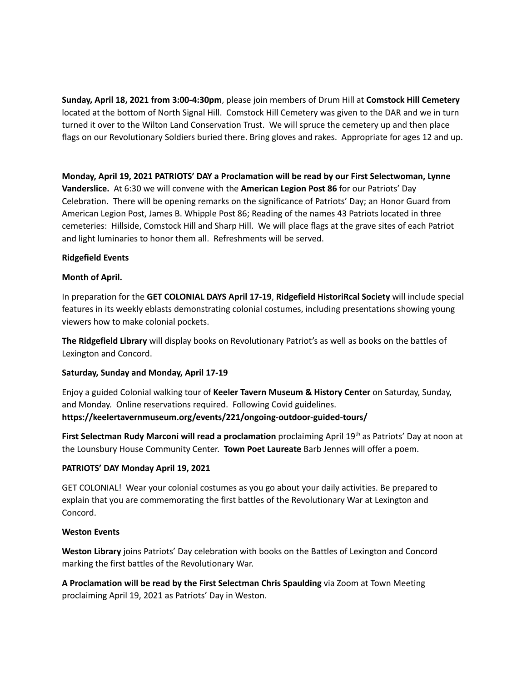**Sunday, April 18, 2021 from 3:00-4:30pm**, please join members of Drum Hill at **Comstock Hill Cemetery** located at the bottom of North Signal Hill. Comstock Hill Cemetery was given to the DAR and we in turn turned it over to the Wilton Land Conservation Trust. We will spruce the cemetery up and then place flags on our Revolutionary Soldiers buried there. Bring gloves and rakes. Appropriate for ages 12 and up.

**Monday, April 19, 2021 PATRIOTS' DAY a Proclamation will be read by our First Selectwoman, Lynne Vanderslice.** At 6:30 we will convene with the **American Legion Post 86** for our Patriots' Day Celebration. There will be opening remarks on the significance of Patriots' Day; an Honor Guard from American Legion Post, James B. Whipple Post 86; Reading of the names 43 Patriots located in three cemeteries: Hillside, Comstock Hill and Sharp Hill. We will place flags at the grave sites of each Patriot and light luminaries to honor them all. Refreshments will be served.

### **Ridgefield Events**

### **Month of April.**

In preparation for the **GET COLONIAL DAYS April 17-19**, **Ridgefield HistoriRcal Society** will include special features in its weekly eblasts demonstrating colonial costumes, including presentations showing young viewers how to make colonial pockets.

**The Ridgefield Library** will display books on Revolutionary Patriot's as well as books on the battles of Lexington and Concord.

#### **Saturday, Sunday and Monday, April 17-19**

Enjoy a guided Colonial walking tour of **Keeler Tavern Museum & History Center** on Saturday, Sunday, and Monday. Online reservations required. Following Covid guidelines. **https://keelertavernmuseum.org/events/221/ongoing-outdoor-guided-tours/**

**First Selectman Rudy Marconi will read a proclamation** proclaiming April 19 th as Patriots' Day at noon at the Lounsbury House Community Center. **Town Poet Laureate** Barb Jennes will offer a poem.

## **PATRIOTS' DAY Monday April 19, 2021**

GET COLONIAL! Wear your colonial costumes as you go about your daily activities. Be prepared to explain that you are commemorating the first battles of the Revolutionary War at Lexington and Concord.

#### **Weston Events**

**Weston Library** joins Patriots' Day celebration with books on the Battles of Lexington and Concord marking the first battles of the Revolutionary War.

**A Proclamation will be read by the First Selectman Chris Spaulding** via Zoom at Town Meeting proclaiming April 19, 2021 as Patriots' Day in Weston.